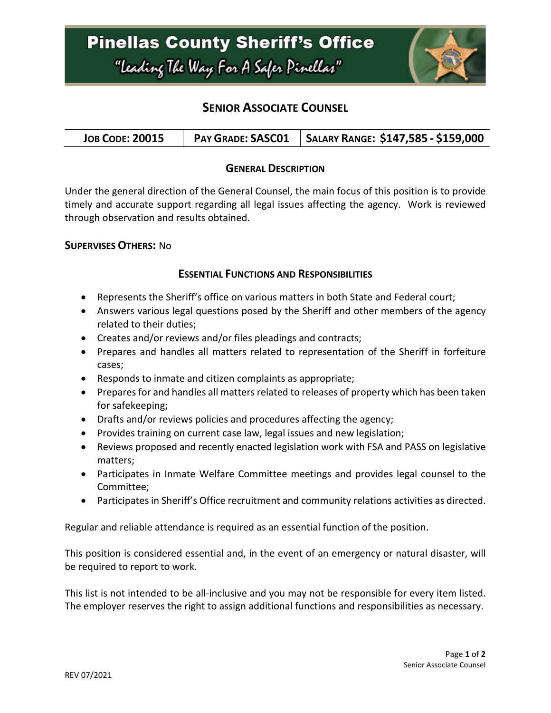

# **SENIOR ASSOCIATE COUNSEL**

| <b>JOB CODE: 20015</b> | <b>PAY GRADE: SASC01</b> | SALARY RANGE: \$147,585 - \$159,000 |
|------------------------|--------------------------|-------------------------------------|
|------------------------|--------------------------|-------------------------------------|

### **GENERAL DESCRIPTION**

Under the general direction of the General Counsel, the main focus of this position is to provide timely and accurate support regarding all legal issues affecting the agency. Work is reviewed through observation and results obtained.

#### **SUPERVISES OTHERS:** No

### **ESSENTIAL FUNCTIONS AND RESPONSIBILITIES**

- Represents the Sheriff's office on various matters in both State and Federal court;
- Answers various legal questions posed by the Sheriff and other members of the agency related to their duties;
- Creates and/or reviews and/or files pleadings and contracts;
- Prepares and handles all matters related to representation of the Sheriff in forfeiture cases;
- Responds to inmate and citizen complaints as appropriate;
- Prepares for and handles all matters related to releases of property which has been taken for safekeeping;
- Drafts and/or reviews policies and procedures affecting the agency;
- Provides training on current case law, legal issues and new legislation;
- Reviews proposed and recently enacted legislation work with FSA and PASS on legislative matters;
- Participates in Inmate Welfare Committee meetings and provides legal counsel to the Committee;
- Participates in Sheriff's Office recruitment and community relations activities as directed.

Regular and reliable attendance is required as an essential function of the position.

This position is considered essential and, in the event of an emergency or natural disaster, will be required to report to work.

This list is not intended to be all-inclusive and you may not be responsible for every item listed. The employer reserves the right to assign additional functions and responsibilities as necessary.